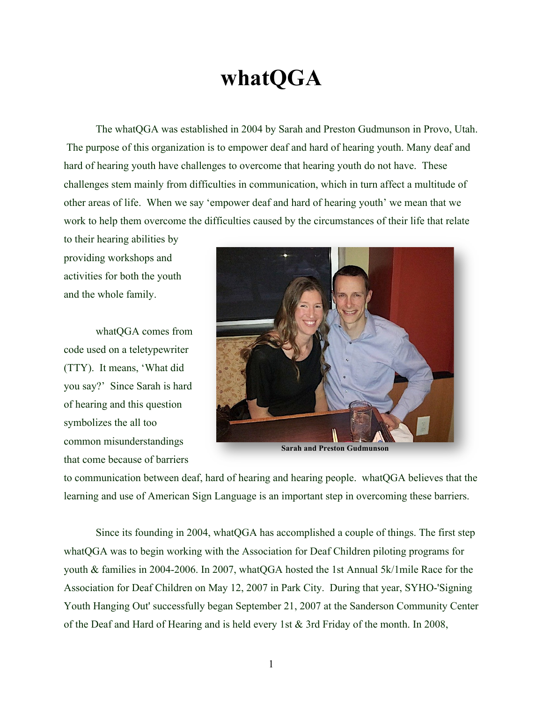## **whatQGA**

The whatQGA was established in 2004 by Sarah and Preston Gudmunson in Provo, Utah. The purpose of this organization is to empower deaf and hard of hearing youth. Many deaf and hard of hearing youth have challenges to overcome that hearing youth do not have. These challenges stem mainly from difficulties in communication, which in turn affect a multitude of other areas of life. When we say 'empower deaf and hard of hearing youth' we mean that we work to help them overcome the difficulties caused by the circumstances of their life that relate

to their hearing abilities by providing workshops and activities for both the youth and the whole family.

whatQGA comes from code used on a teletypewriter (TTY). It means, 'What did you say?' Since Sarah is hard of hearing and this question symbolizes the all too common misunderstandings that come because of barriers



**Sarah and Preston Gudmunson**

to communication between deaf, hard of hearing and hearing people. whatQGA believes that the learning and use of American Sign Language is an important step in overcoming these barriers.

Since its founding in 2004, whatQGA has accomplished a couple of things. The first step whatQGA was to begin working with the Association for Deaf Children piloting programs for youth & families in 2004-2006. In 2007, whatQGA hosted the 1st Annual 5k/1mile Race for the Association for Deaf Children on May 12, 2007 in Park City. During that year, SYHO-'Signing Youth Hanging Out' successfully began September 21, 2007 at the Sanderson Community Center of the Deaf and Hard of Hearing and is held every 1st & 3rd Friday of the month. In 2008,